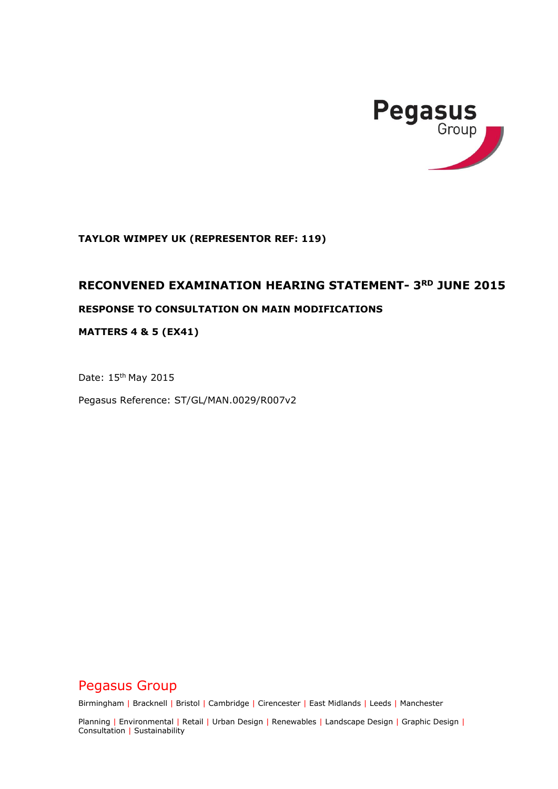

**TAYLOR WIMPEY UK (REPRESENTOR REF: 119)** 

# **RECONVENED EXAMINATION HEARING STATEMENT- 3RD JUNE 2015**

# **RESPONSE TO CONSULTATION ON MAIN MODIFICATIONS**

**MATTERS 4 & 5 (EX41)** 

Date: 15th May 2015

Pegasus Reference: ST/GL/MAN.0029/R007v2

Pegasus Group

Birmingham | Bracknell | Bristol | Cambridge | Cirencester | East Midlands | Leeds | Manchester

Planning | Environmental | Retail | Urban Design | Renewables | Landscape Design | Graphic Design | Consultation | Sustainability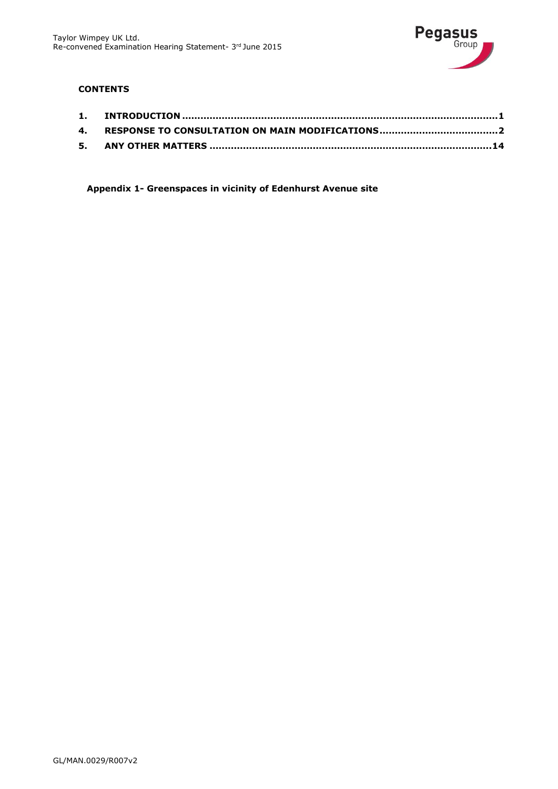

# **CONTENTS**

**Appendix 1- Greenspaces in vicinity of Edenhurst Avenue site**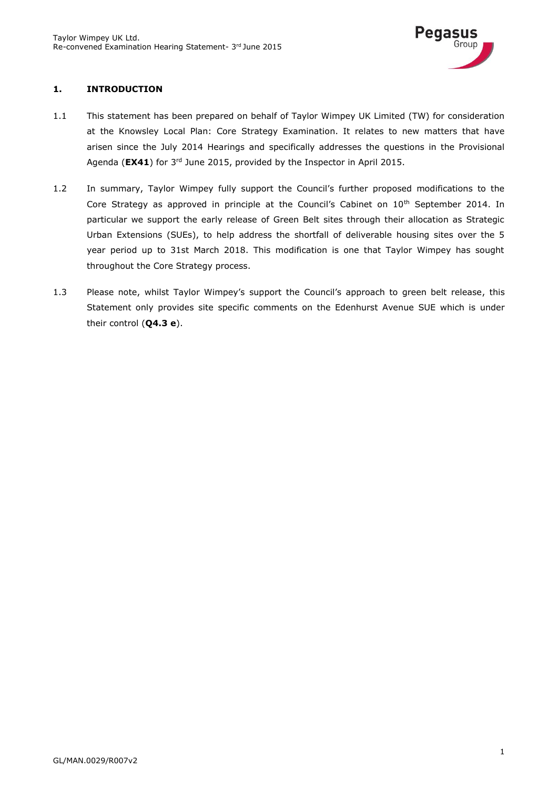

# <span id="page-2-0"></span>**1. INTRODUCTION**

- 1.1 This statement has been prepared on behalf of Taylor Wimpey UK Limited (TW) for consideration at the Knowsley Local Plan: Core Strategy Examination. It relates to new matters that have arisen since the July 2014 Hearings and specifically addresses the questions in the Provisional Agenda (**EX41**) for 3rd June 2015, provided by the Inspector in April 2015.
- 1.2 In summary, Taylor Wimpey fully support the Council's further proposed modifications to the Core Strategy as approved in principle at the Council's Cabinet on 10<sup>th</sup> September 2014. In particular we support the early release of Green Belt sites through their allocation as Strategic Urban Extensions (SUEs), to help address the shortfall of deliverable housing sites over the 5 year period up to 31st March 2018. This modification is one that Taylor Wimpey has sought throughout the Core Strategy process.
- 1.3 Please note, whilst Taylor Wimpey's support the Council's approach to green belt release, this Statement only provides site specific comments on the Edenhurst Avenue SUE which is under their control (**Q4.3 e**).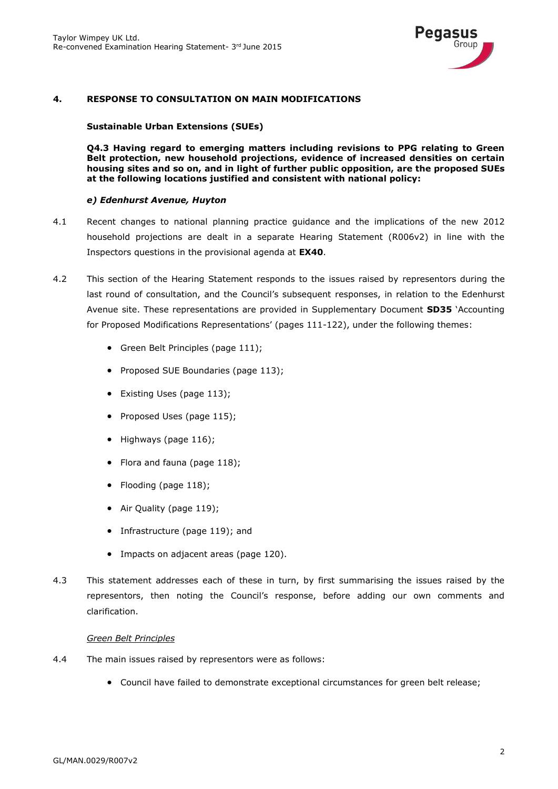

### <span id="page-3-0"></span>**4. RESPONSE TO CONSULTATION ON MAIN MODIFICATIONS**

#### **Sustainable Urban Extensions (SUEs)**

**Q4.3 Having regard to emerging matters including revisions to PPG relating to Green Belt protection, new household projections, evidence of increased densities on certain housing sites and so on, and in light of further public opposition, are the proposed SUEs at the following locations justified and consistent with national policy:**

#### *e) Edenhurst Avenue, Huyton*

- 4.1 Recent changes to national planning practice guidance and the implications of the new 2012 household projections are dealt in a separate Hearing Statement (R006v2) in line with the Inspectors questions in the provisional agenda at **EX40**.
- 4.2 This section of the Hearing Statement responds to the issues raised by representors during the last round of consultation, and the Council's subsequent responses, in relation to the Edenhurst Avenue site. These representations are provided in Supplementary Document **SD35** 'Accounting for Proposed Modifications Representations' (pages 111-122), under the following themes:
	- Green Belt Principles (page 111);
	- Proposed SUE Boundaries (page 113);
	- Existing Uses (page 113);
	- Proposed Uses (page 115);
	- $\bullet$  Highways (page 116);
	- Flora and fauna (page 118);
	- Flooding (page 118);
	- Air Quality (page 119);
	- Infrastructure (page 119); and
	- Impacts on adjacent areas (page 120).
- 4.3 This statement addresses each of these in turn, by first summarising the issues raised by the representors, then noting the Council's response, before adding our own comments and clarification.

#### *Green Belt Principles*

- 4.4 The main issues raised by representors were as follows:
	- Council have failed to demonstrate exceptional circumstances for green belt release;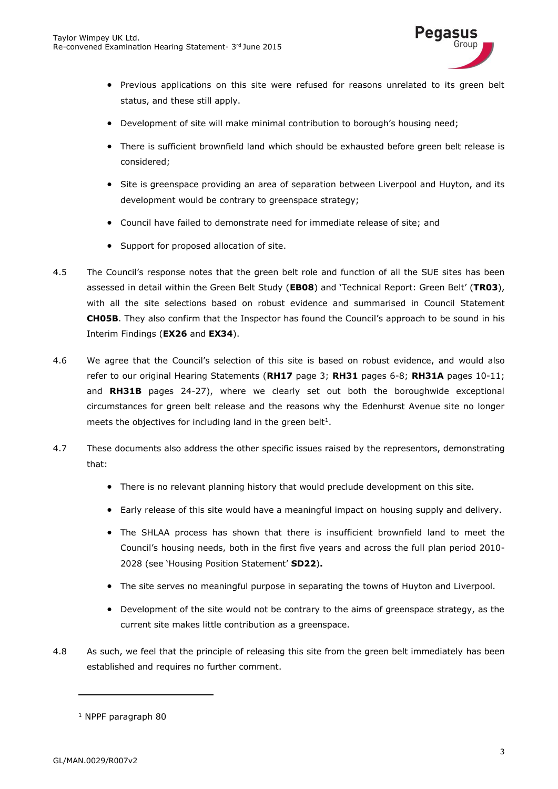

- Previous applications on this site were refused for reasons unrelated to its green belt status, and these still apply.
- Development of site will make minimal contribution to borough's housing need;
- There is sufficient brownfield land which should be exhausted before green belt release is considered;
- Site is greenspace providing an area of separation between Liverpool and Huyton, and its development would be contrary to greenspace strategy;
- Council have failed to demonstrate need for immediate release of site; and
- Support for proposed allocation of site.
- 4.5 The Council's response notes that the green belt role and function of all the SUE sites has been assessed in detail within the Green Belt Study (**EB08**) and 'Technical Report: Green Belt' (**TR03**), with all the site selections based on robust evidence and summarised in Council Statement **CH05B**. They also confirm that the Inspector has found the Council's approach to be sound in his Interim Findings (**EX26** and **EX34**).
- 4.6 We agree that the Council's selection of this site is based on robust evidence, and would also refer to our original Hearing Statements (**RH17** page 3; **RH31** pages 6-8; **RH31A** pages 10-11; and **RH31B** pages 24-27), where we clearly set out both the boroughwide exceptional circumstances for green belt release and the reasons why the Edenhurst Avenue site no longer meets the objectives for including land in the green belt<sup>1</sup>.
- 4.7 These documents also address the other specific issues raised by the representors, demonstrating that:
	- There is no relevant planning history that would preclude development on this site.
	- Early release of this site would have a meaningful impact on housing supply and delivery.
	- The SHLAA process has shown that there is insufficient brownfield land to meet the Council's housing needs, both in the first five years and across the full plan period 2010- 2028 (see 'Housing Position Statement' **SD22**)**.**
	- The site serves no meaningful purpose in separating the towns of Huyton and Liverpool.
	- Development of the site would not be contrary to the aims of greenspace strategy, as the current site makes little contribution as a greenspace.
- 4.8 As such, we feel that the principle of releasing this site from the green belt immediately has been established and requires no further comment.

<sup>1</sup> NPPF paragraph 80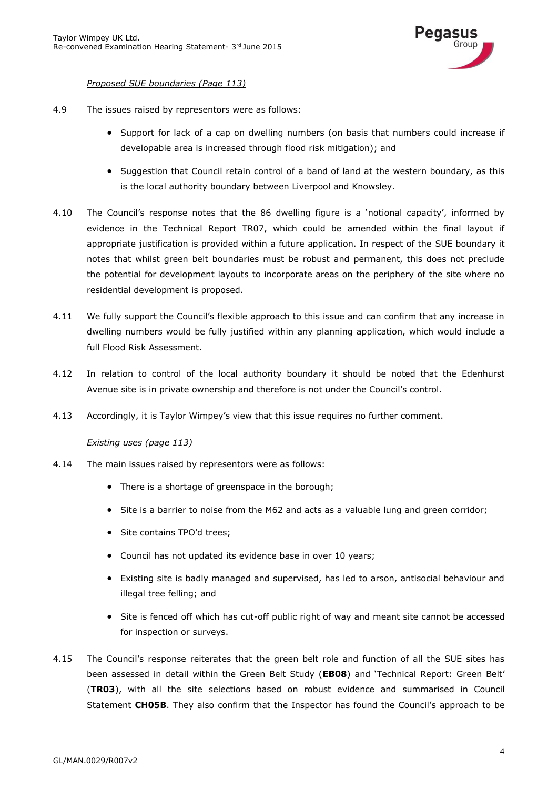

### *Proposed SUE boundaries (Page 113)*

- 4.9 The issues raised by representors were as follows:
	- Support for lack of a cap on dwelling numbers (on basis that numbers could increase if developable area is increased through flood risk mitigation); and
	- Suggestion that Council retain control of a band of land at the western boundary, as this is the local authority boundary between Liverpool and Knowsley.
- 4.10 The Council's response notes that the 86 dwelling figure is a 'notional capacity', informed by evidence in the Technical Report TR07, which could be amended within the final layout if appropriate justification is provided within a future application. In respect of the SUE boundary it notes that whilst green belt boundaries must be robust and permanent, this does not preclude the potential for development layouts to incorporate areas on the periphery of the site where no residential development is proposed.
- 4.11 We fully support the Council's flexible approach to this issue and can confirm that any increase in dwelling numbers would be fully justified within any planning application, which would include a full Flood Risk Assessment.
- 4.12 In relation to control of the local authority boundary it should be noted that the Edenhurst Avenue site is in private ownership and therefore is not under the Council's control.
- 4.13 Accordingly, it is Taylor Wimpey's view that this issue requires no further comment.

#### *Existing uses (page 113)*

- 4.14 The main issues raised by representors were as follows:
	- There is a shortage of greenspace in the borough;
	- Site is a barrier to noise from the M62 and acts as a valuable lung and green corridor;
	- Site contains TPO'd trees;
	- Council has not updated its evidence base in over 10 years;
	- Existing site is badly managed and supervised, has led to arson, antisocial behaviour and illegal tree felling; and
	- Site is fenced off which has cut-off public right of way and meant site cannot be accessed for inspection or surveys.
- 4.15 The Council's response reiterates that the green belt role and function of all the SUE sites has been assessed in detail within the Green Belt Study (**EB08**) and 'Technical Report: Green Belt' (**TR03**), with all the site selections based on robust evidence and summarised in Council Statement **CH05B**. They also confirm that the Inspector has found the Council's approach to be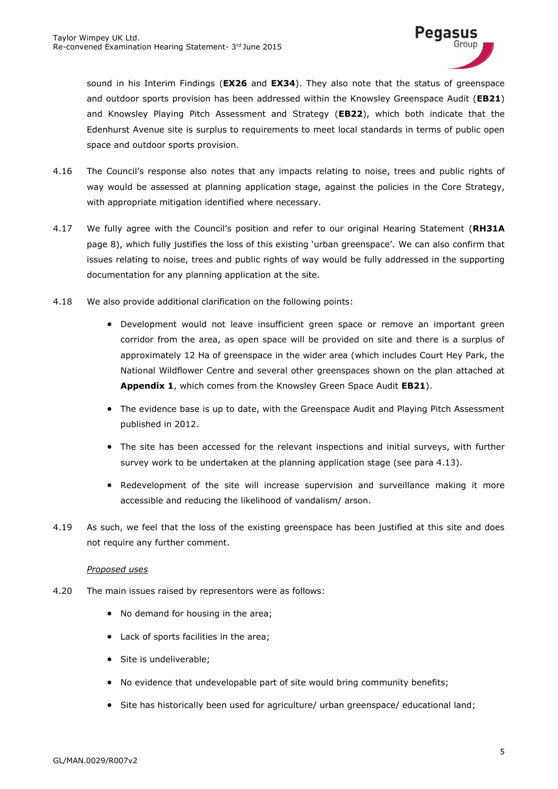

sound in his Interim Findings (**EX26** and **EX34**). They also note that the status of greenspace and outdoor sports provision has been addressed within the Knowsley Greenspace Audit (**EB21**) and Knowsley Playing Pitch Assessment and Strategy (**EB22**), which both indicate that the Edenhurst Avenue site is surplus to requirements to meet local standards in terms of public open space and outdoor sports provision.

- 4.16 The Council's response also notes that any impacts relating to noise, trees and public rights of way would be assessed at planning application stage, against the policies in the Core Strategy, with appropriate mitigation identified where necessary.
- 4.17 We fully agree with the Council's position and refer to our original Hearing Statement (**RH31A** page 8), which fully justifies the loss of this existing 'urban greenspace'. We can also confirm that issues relating to noise, trees and public rights of way would be fully addressed in the supporting documentation for any planning application at the site.
- 4.18 We also provide additional clarification on the following points:
	- Development would not leave insufficient green space or remove an important green corridor from the area, as open space will be provided on site and there is a surplus of approximately 12 Ha of greenspace in the wider area (which includes Court Hey Park, the National Wildflower Centre and several other greenspaces shown on the plan attached at **Appendix 1**, which comes from the Knowsley Green Space Audit **EB21**).
	- The evidence base is up to date, with the Greenspace Audit and Playing Pitch Assessment published in 2012.
	- The site has been accessed for the relevant inspections and initial surveys, with further survey work to be undertaken at the planning application stage (see para 4.13).
	- Redevelopment of the site will increase supervision and surveillance making it more accessible and reducing the likelihood of vandalism/ arson.
- 4.19 As such, we feel that the loss of the existing greenspace has been justified at this site and does not require any further comment.

### *Proposed uses*

- 4.20 The main issues raised by representors were as follows:
	- No demand for housing in the area;
	- Lack of sports facilities in the area;
	- Site is undeliverable;
	- No evidence that undevelopable part of site would bring community benefits;
	- Site has historically been used for agriculture/ urban greenspace/ educational land: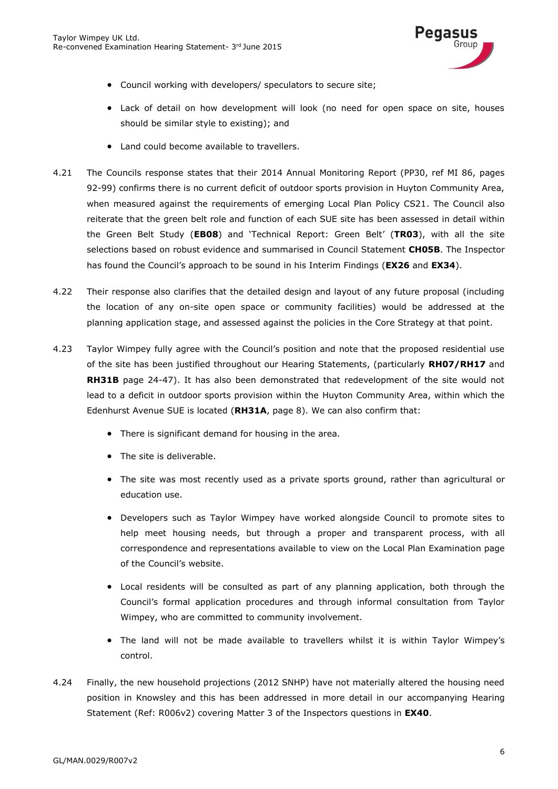

- Council working with developers/ speculators to secure site;
- Lack of detail on how development will look (no need for open space on site, houses should be similar style to existing); and
- Land could become available to travellers.
- 4.21 The Councils response states that their 2014 Annual Monitoring Report (PP30, ref MI 86, pages 92-99) confirms there is no current deficit of outdoor sports provision in Huyton Community Area, when measured against the requirements of emerging Local Plan Policy CS21. The Council also reiterate that the green belt role and function of each SUE site has been assessed in detail within the Green Belt Study (**EB08**) and 'Technical Report: Green Belt' (**TR03**), with all the site selections based on robust evidence and summarised in Council Statement **CH05B**. The Inspector has found the Council's approach to be sound in his Interim Findings (**EX26** and **EX34**).
- 4.22 Their response also clarifies that the detailed design and layout of any future proposal (including the location of any on-site open space or community facilities) would be addressed at the planning application stage, and assessed against the policies in the Core Strategy at that point.
- 4.23 Taylor Wimpey fully agree with the Council's position and note that the proposed residential use of the site has been justified throughout our Hearing Statements, (particularly **RH07/RH17** and **RH31B** page 24-47). It has also been demonstrated that redevelopment of the site would not lead to a deficit in outdoor sports provision within the Huyton Community Area, within which the Edenhurst Avenue SUE is located (**RH31A**, page 8). We can also confirm that:
	- There is significant demand for housing in the area.
	- The site is deliverable.
	- The site was most recently used as a private sports ground, rather than agricultural or education use.
	- Developers such as Taylor Wimpey have worked alongside Council to promote sites to help meet housing needs, but through a proper and transparent process, with all correspondence and representations available to view on the Local Plan Examination page of the Council's website.
	- Local residents will be consulted as part of any planning application, both through the Council's formal application procedures and through informal consultation from Taylor Wimpey, who are committed to community involvement.
	- The land will not be made available to travellers whilst it is within Taylor Wimpey's control.
- 4.24 Finally, the new household projections (2012 SNHP) have not materially altered the housing need position in Knowsley and this has been addressed in more detail in our accompanying Hearing Statement (Ref: R006v2) covering Matter 3 of the Inspectors questions in **EX40**.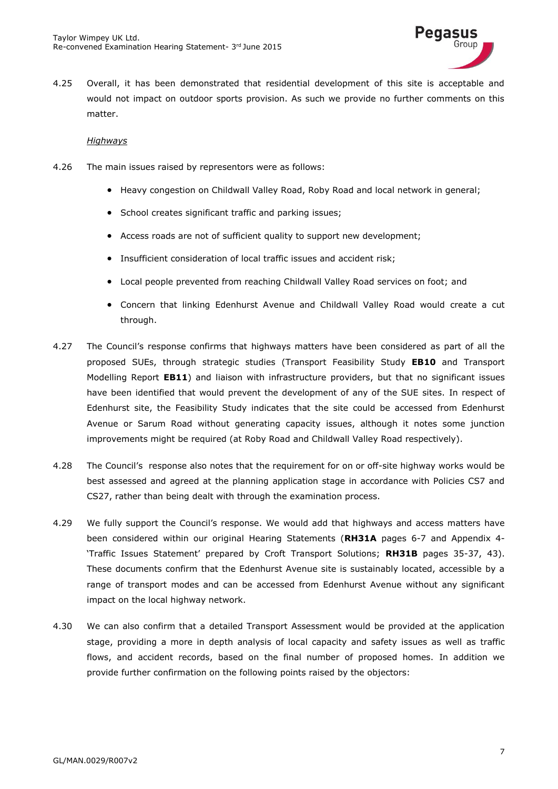

4.25 Overall, it has been demonstrated that residential development of this site is acceptable and would not impact on outdoor sports provision. As such we provide no further comments on this matter.

#### *Highways*

- 4.26 The main issues raised by representors were as follows:
	- Heavy congestion on Childwall Valley Road, Roby Road and local network in general;
	- School creates significant traffic and parking issues;
	- Access roads are not of sufficient quality to support new development;
	- Insufficient consideration of local traffic issues and accident risk;
	- Local people prevented from reaching Childwall Valley Road services on foot; and
	- Concern that linking Edenhurst Avenue and Childwall Valley Road would create a cut through.
- 4.27 The Council's response confirms that highways matters have been considered as part of all the proposed SUEs, through strategic studies (Transport Feasibility Study **EB10** and Transport Modelling Report **EB11**) and liaison with infrastructure providers, but that no significant issues have been identified that would prevent the development of any of the SUE sites. In respect of Edenhurst site, the Feasibility Study indicates that the site could be accessed from Edenhurst Avenue or Sarum Road without generating capacity issues, although it notes some junction improvements might be required (at Roby Road and Childwall Valley Road respectively).
- 4.28 The Council's response also notes that the requirement for on or off-site highway works would be best assessed and agreed at the planning application stage in accordance with Policies CS7 and CS27, rather than being dealt with through the examination process.
- 4.29 We fully support the Council's response. We would add that highways and access matters have been considered within our original Hearing Statements (**RH31A** pages 6-7 and Appendix 4- 'Traffic Issues Statement' prepared by Croft Transport Solutions; **RH31B** pages 35-37, 43). These documents confirm that the Edenhurst Avenue site is sustainably located, accessible by a range of transport modes and can be accessed from Edenhurst Avenue without any significant impact on the local highway network.
- 4.30 We can also confirm that a detailed Transport Assessment would be provided at the application stage, providing a more in depth analysis of local capacity and safety issues as well as traffic flows, and accident records, based on the final number of proposed homes. In addition we provide further confirmation on the following points raised by the objectors: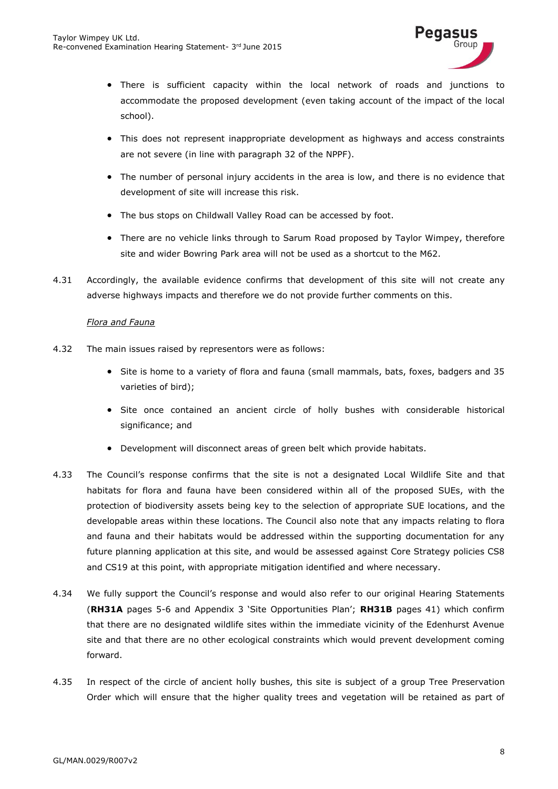

- There is sufficient capacity within the local network of roads and junctions to accommodate the proposed development (even taking account of the impact of the local school).
- This does not represent inappropriate development as highways and access constraints are not severe (in line with paragraph 32 of the NPPF).
- The number of personal injury accidents in the area is low, and there is no evidence that development of site will increase this risk.
- The bus stops on Childwall Valley Road can be accessed by foot.
- There are no vehicle links through to Sarum Road proposed by Taylor Wimpey, therefore site and wider Bowring Park area will not be used as a shortcut to the M62.
- 4.31 Accordingly, the available evidence confirms that development of this site will not create any adverse highways impacts and therefore we do not provide further comments on this.

### *Flora and Fauna*

- 4.32 The main issues raised by representors were as follows:
	- Site is home to a variety of flora and fauna (small mammals, bats, foxes, badgers and 35 varieties of bird);
	- Site once contained an ancient circle of holly bushes with considerable historical significance; and
	- Development will disconnect areas of green belt which provide habitats.
- 4.33 The Council's response confirms that the site is not a designated Local Wildlife Site and that habitats for flora and fauna have been considered within all of the proposed SUEs, with the protection of biodiversity assets being key to the selection of appropriate SUE locations, and the developable areas within these locations. The Council also note that any impacts relating to flora and fauna and their habitats would be addressed within the supporting documentation for any future planning application at this site, and would be assessed against Core Strategy policies CS8 and CS19 at this point, with appropriate mitigation identified and where necessary.
- 4.34 We fully support the Council's response and would also refer to our original Hearing Statements (**RH31A** pages 5-6 and Appendix 3 'Site Opportunities Plan'; **RH31B** pages 41) which confirm that there are no designated wildlife sites within the immediate vicinity of the Edenhurst Avenue site and that there are no other ecological constraints which would prevent development coming forward.
- 4.35 In respect of the circle of ancient holly bushes, this site is subject of a group Tree Preservation Order which will ensure that the higher quality trees and vegetation will be retained as part of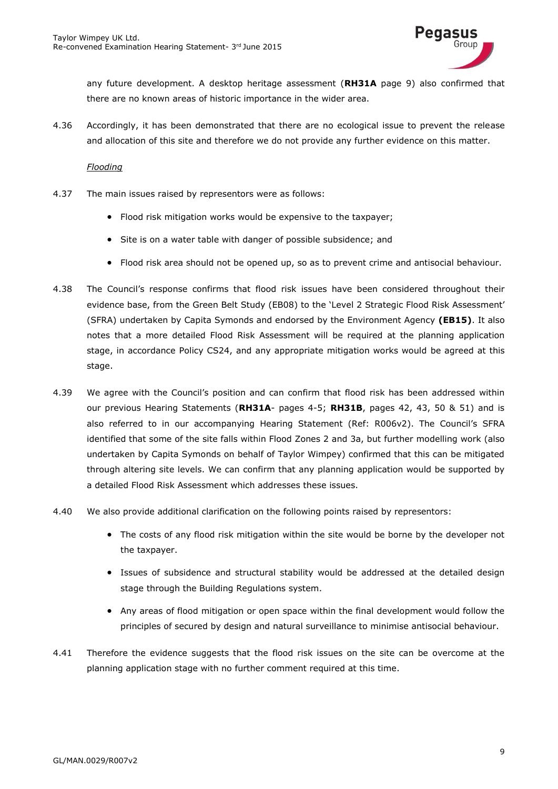

any future development. A desktop heritage assessment (**RH31A** page 9) also confirmed that there are no known areas of historic importance in the wider area.

4.36 Accordingly, it has been demonstrated that there are no ecological issue to prevent the release and allocation of this site and therefore we do not provide any further evidence on this matter.

#### *Flooding*

- 4.37 The main issues raised by representors were as follows:
	- Flood risk mitigation works would be expensive to the taxpayer;
	- Site is on a water table with danger of possible subsidence; and
	- Flood risk area should not be opened up, so as to prevent crime and antisocial behaviour.
- 4.38 The Council's response confirms that flood risk issues have been considered throughout their evidence base, from the Green Belt Study (EB08) to the 'Level 2 Strategic Flood Risk Assessment' (SFRA) undertaken by Capita Symonds and endorsed by the Environment Agency **(EB15)**. It also notes that a more detailed Flood Risk Assessment will be required at the planning application stage, in accordance Policy CS24, and any appropriate mitigation works would be agreed at this stage.
- 4.39 We agree with the Council's position and can confirm that flood risk has been addressed within our previous Hearing Statements (**RH31A**- pages 4-5; **RH31B**, pages 42, 43, 50 & 51) and is also referred to in our accompanying Hearing Statement (Ref: R006v2). The Council's SFRA identified that some of the site falls within Flood Zones 2 and 3a, but further modelling work (also undertaken by Capita Symonds on behalf of Taylor Wimpey) confirmed that this can be mitigated through altering site levels. We can confirm that any planning application would be supported by a detailed Flood Risk Assessment which addresses these issues.
- 4.40 We also provide additional clarification on the following points raised by representors:
	- The costs of any flood risk mitigation within the site would be borne by the developer not the taxpayer.
	- Issues of subsidence and structural stability would be addressed at the detailed design stage through the Building Regulations system.
	- Any areas of flood mitigation or open space within the final development would follow the principles of secured by design and natural surveillance to minimise antisocial behaviour.
- 4.41 Therefore the evidence suggests that the flood risk issues on the site can be overcome at the planning application stage with no further comment required at this time.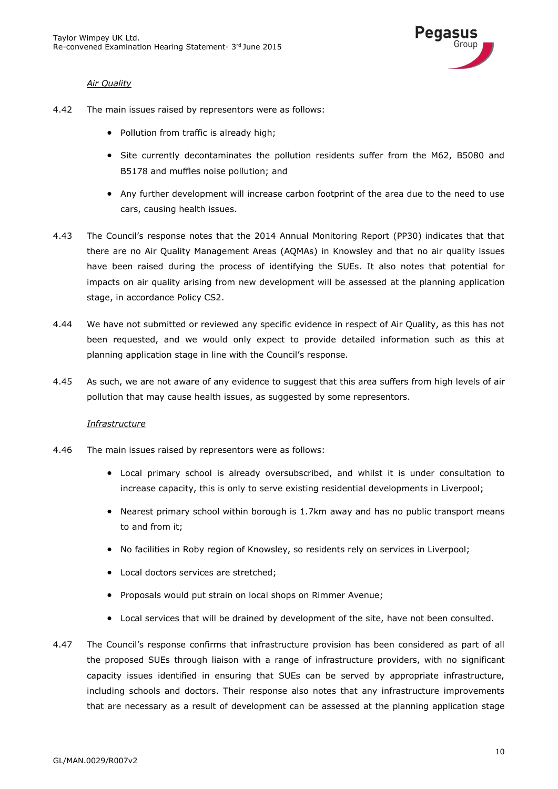

### *Air Quality*

- 4.42 The main issues raised by representors were as follows:
	- Pollution from traffic is already high;
	- Site currently decontaminates the pollution residents suffer from the M62, B5080 and B5178 and muffles noise pollution; and
	- Any further development will increase carbon footprint of the area due to the need to use cars, causing health issues.
- 4.43 The Council's response notes that the 2014 Annual Monitoring Report (PP30) indicates that that there are no Air Quality Management Areas (AQMAs) in Knowsley and that no air quality issues have been raised during the process of identifying the SUEs. It also notes that potential for impacts on air quality arising from new development will be assessed at the planning application stage, in accordance Policy CS2.
- 4.44 We have not submitted or reviewed any specific evidence in respect of Air Quality, as this has not been requested, and we would only expect to provide detailed information such as this at planning application stage in line with the Council's response.
- 4.45 As such, we are not aware of any evidence to suggest that this area suffers from high levels of air pollution that may cause health issues, as suggested by some representors.

### *Infrastructure*

- 4.46 The main issues raised by representors were as follows:
	- Local primary school is already oversubscribed, and whilst it is under consultation to increase capacity, this is only to serve existing residential developments in Liverpool;
	- Nearest primary school within borough is 1.7km away and has no public transport means to and from it;
	- No facilities in Roby region of Knowsley, so residents rely on services in Liverpool;
	- Local doctors services are stretched;
	- Proposals would put strain on local shops on Rimmer Avenue;
	- Local services that will be drained by development of the site, have not been consulted.
- 4.47 The Council's response confirms that infrastructure provision has been considered as part of all the proposed SUEs through liaison with a range of infrastructure providers, with no significant capacity issues identified in ensuring that SUEs can be served by appropriate infrastructure, including schools and doctors. Their response also notes that any infrastructure improvements that are necessary as a result of development can be assessed at the planning application stage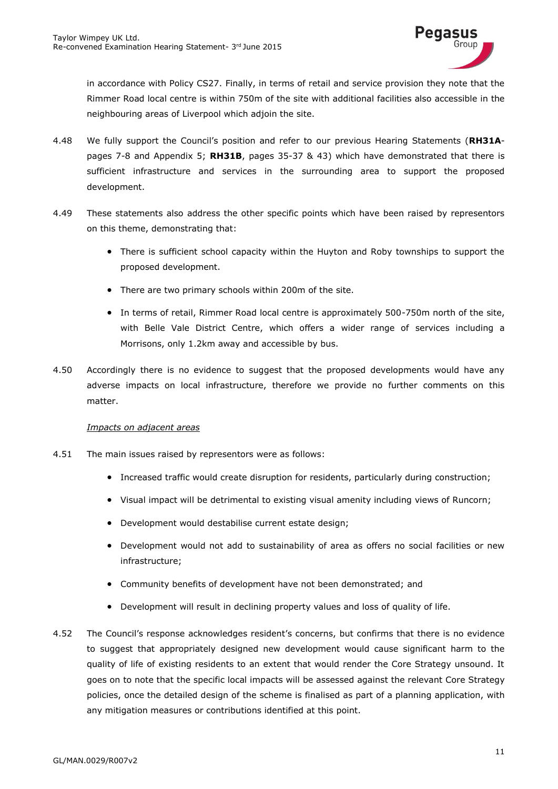

in accordance with Policy CS27. Finally, in terms of retail and service provision they note that the Rimmer Road local centre is within 750m of the site with additional facilities also accessible in the neighbouring areas of Liverpool which adjoin the site.

- 4.48 We fully support the Council's position and refer to our previous Hearing Statements (**RH31A**pages 7-8 and Appendix 5; **RH31B**, pages 35-37 & 43) which have demonstrated that there is sufficient infrastructure and services in the surrounding area to support the proposed development.
- 4.49 These statements also address the other specific points which have been raised by representors on this theme, demonstrating that:
	- There is sufficient school capacity within the Huyton and Roby townships to support the proposed development.
	- There are two primary schools within 200m of the site.
	- In terms of retail, Rimmer Road local centre is approximately 500-750m north of the site, with Belle Vale District Centre, which offers a wider range of services including a Morrisons, only 1.2km away and accessible by bus.
- 4.50 Accordingly there is no evidence to suggest that the proposed developments would have any adverse impacts on local infrastructure, therefore we provide no further comments on this matter.

### *Impacts on adjacent areas*

- 4.51 The main issues raised by representors were as follows:
	- Increased traffic would create disruption for residents, particularly during construction;
	- Visual impact will be detrimental to existing visual amenity including views of Runcorn;
	- Development would destabilise current estate design;
	- Development would not add to sustainability of area as offers no social facilities or new infrastructure;
	- Community benefits of development have not been demonstrated; and
	- Development will result in declining property values and loss of quality of life.
- 4.52 The Council's response acknowledges resident's concerns, but confirms that there is no evidence to suggest that appropriately designed new development would cause significant harm to the quality of life of existing residents to an extent that would render the Core Strategy unsound. It goes on to note that the specific local impacts will be assessed against the relevant Core Strategy policies, once the detailed design of the scheme is finalised as part of a planning application, with any mitigation measures or contributions identified at this point.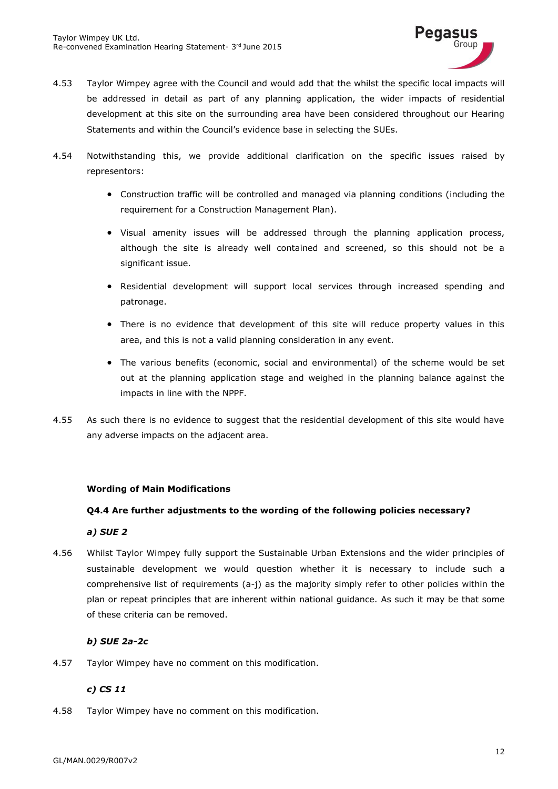

- 4.53 Taylor Wimpey agree with the Council and would add that the whilst the specific local impacts will be addressed in detail as part of any planning application, the wider impacts of residential development at this site on the surrounding area have been considered throughout our Hearing Statements and within the Council's evidence base in selecting the SUEs.
- 4.54 Notwithstanding this, we provide additional clarification on the specific issues raised by representors:
	- Construction traffic will be controlled and managed via planning conditions (including the requirement for a Construction Management Plan).
	- Visual amenity issues will be addressed through the planning application process, although the site is already well contained and screened, so this should not be a significant issue.
	- Residential development will support local services through increased spending and patronage.
	- There is no evidence that development of this site will reduce property values in this area, and this is not a valid planning consideration in any event.
	- The various benefits (economic, social and environmental) of the scheme would be set out at the planning application stage and weighed in the planning balance against the impacts in line with the NPPF.
- 4.55 As such there is no evidence to suggest that the residential development of this site would have any adverse impacts on the adjacent area.

# **Wording of Main Modifications**

### **Q4.4 Are further adjustments to the wording of the following policies necessary?**

### *a) SUE 2*

4.56 Whilst Taylor Wimpey fully support the Sustainable Urban Extensions and the wider principles of sustainable development we would question whether it is necessary to include such a comprehensive list of requirements (a-j) as the majority simply refer to other policies within the plan or repeat principles that are inherent within national guidance. As such it may be that some of these criteria can be removed.

# *b) SUE 2a-2c*

4.57 Taylor Wimpey have no comment on this modification.

# *c) CS 11*

4.58 Taylor Wimpey have no comment on this modification.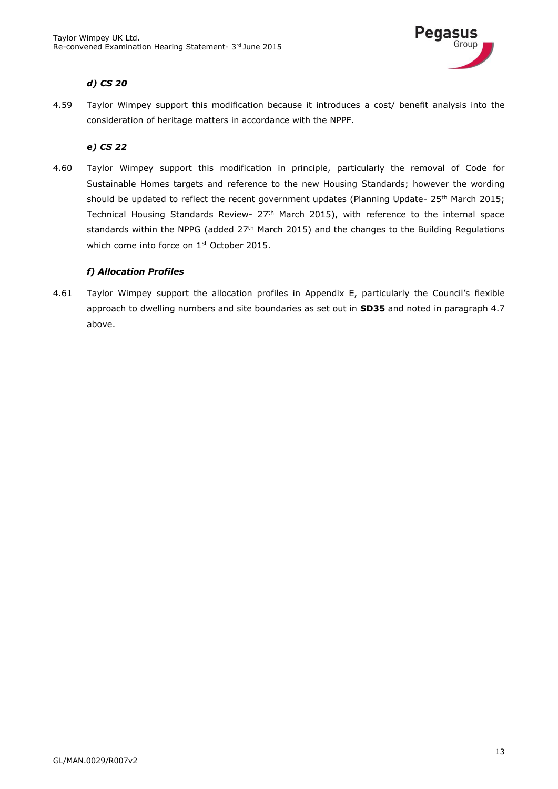

# *d) CS 20*

4.59 Taylor Wimpey support this modification because it introduces a cost/ benefit analysis into the consideration of heritage matters in accordance with the NPPF.

### *e) CS 22*

4.60 Taylor Wimpey support this modification in principle, particularly the removal of Code for Sustainable Homes targets and reference to the new Housing Standards; however the wording should be updated to reflect the recent government updates (Planning Update- 25<sup>th</sup> March 2015; Technical Housing Standards Review- 27<sup>th</sup> March 2015), with reference to the internal space standards within the NPPG (added 27<sup>th</sup> March 2015) and the changes to the Building Regulations which come into force on 1<sup>st</sup> October 2015.

### *f) Allocation Profiles*

4.61 Taylor Wimpey support the allocation profiles in Appendix E, particularly the Council's flexible approach to dwelling numbers and site boundaries as set out in **SD35** and noted in paragraph 4.7 above.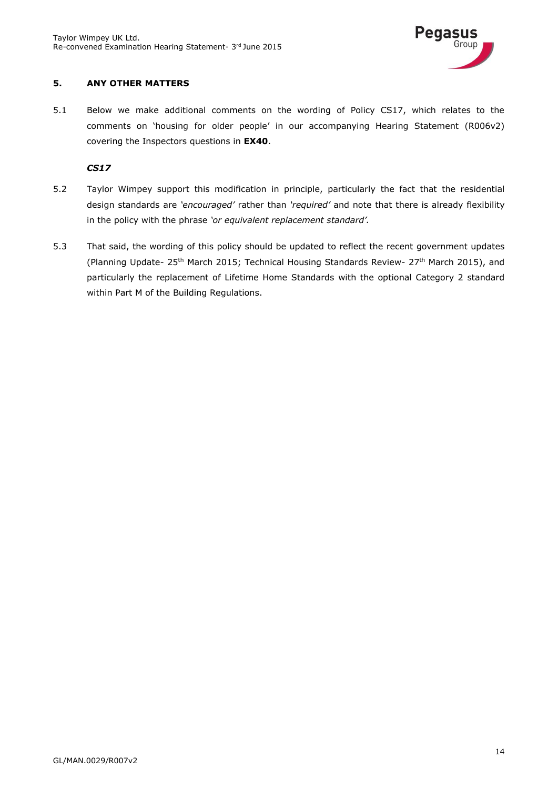

### <span id="page-15-0"></span>**5. ANY OTHER MATTERS**

5.1 Below we make additional comments on the wording of Policy CS17, which relates to the comments on 'housing for older people' in our accompanying Hearing Statement (R006v2) covering the Inspectors questions in **EX40**.

### *CS17*

- 5.2 Taylor Wimpey support this modification in principle, particularly the fact that the residential design standards are *'encouraged'* rather than *'required'* and note that there is already flexibility in the policy with the phrase *'or equivalent replacement standard'.*
- 5.3 That said, the wording of this policy should be updated to reflect the recent government updates (Planning Update- 25th March 2015; Technical Housing Standards Review- 27th March 2015), and particularly the replacement of Lifetime Home Standards with the optional Category 2 standard within Part M of the Building Regulations.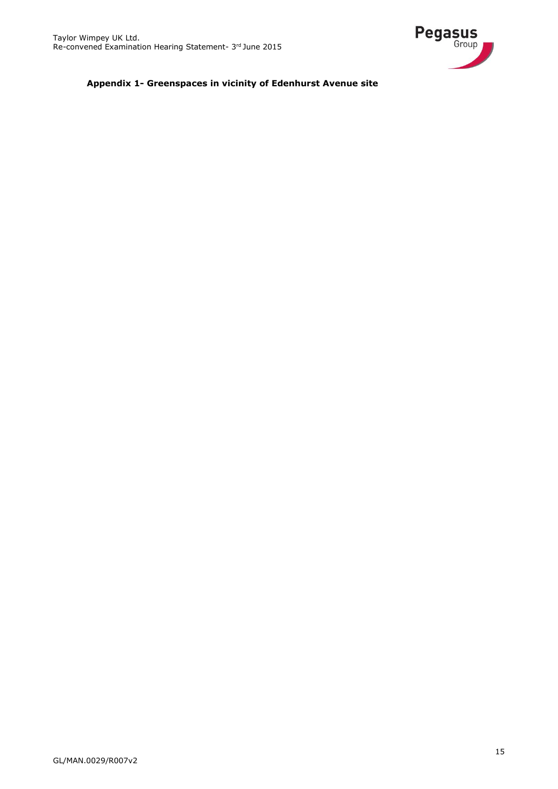

**Appendix 1- Greenspaces in vicinity of Edenhurst Avenue site**